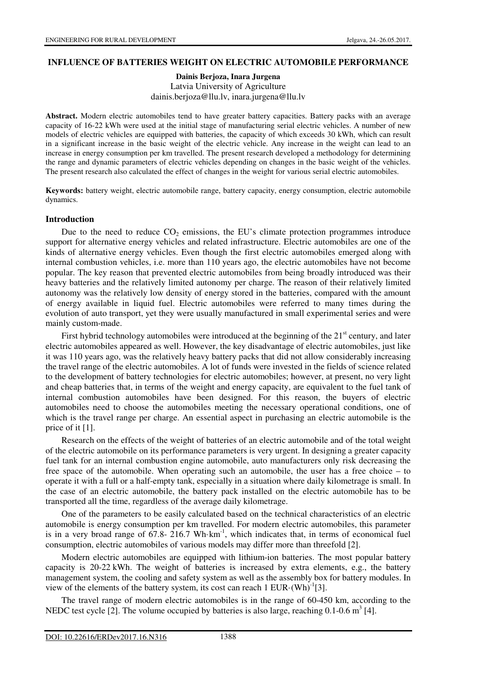## **INFLUENCE OF BATTERIES WEIGHT ON ELECTRIC AUTOMOBILE PERFORMANCE**

### **Dainis Berjoza, Inara Jurgena**  Latvia University of Agriculture dainis.berjoza@llu.lv, inara.jurgena@llu.lv

**Abstract.** Modern electric automobiles tend to have greater battery capacities. Battery packs with an average capacity of 16-22 kWh were used at the initial stage of manufacturing serial electric vehicles. A number of new models of electric vehicles are equipped with batteries, the capacity of which exceeds 30 kWh, which can result in a significant increase in the basic weight of the electric vehicle. Any increase in the weight can lead to an increase in energy consumption per km travelled. The present research developed a methodology for determining the range and dynamic parameters of electric vehicles depending on changes in the basic weight of the vehicles. The present research also calculated the effect of changes in the weight for various serial electric automobiles.

**Keywords:** battery weight, electric automobile range, battery capacity, energy consumption, electric automobile dynamics.

#### **Introduction**

Due to the need to reduce  $CO<sub>2</sub>$  emissions, the EU's climate protection programmes introduce support for alternative energy vehicles and related infrastructure. Electric automobiles are one of the kinds of alternative energy vehicles. Even though the first electric automobiles emerged along with internal combustion vehicles, i.e. more than 110 years ago, the electric automobiles have not become popular. The key reason that prevented electric automobiles from being broadly introduced was their heavy batteries and the relatively limited autonomy per charge. The reason of their relatively limited autonomy was the relatively low density of energy stored in the batteries, compared with the amount of energy available in liquid fuel. Electric automobiles were referred to many times during the evolution of auto transport, yet they were usually manufactured in small experimental series and were mainly custom-made.

First hybrid technology automobiles were introduced at the beginning of the  $21<sup>st</sup>$  century, and later electric automobiles appeared as well. However, the key disadvantage of electric automobiles, just like it was 110 years ago, was the relatively heavy battery packs that did not allow considerably increasing the travel range of the electric automobiles. A lot of funds were invested in the fields of science related to the development of battery technologies for electric automobiles; however, at present, no very light and cheap batteries that, in terms of the weight and energy capacity, are equivalent to the fuel tank of internal combustion automobiles have been designed. For this reason, the buyers of electric automobiles need to choose the automobiles meeting the necessary operational conditions, one of which is the travel range per charge. An essential aspect in purchasing an electric automobile is the price of it [1].

Research on the effects of the weight of batteries of an electric automobile and of the total weight of the electric automobile on its performance parameters is very urgent. In designing a greater capacity fuel tank for an internal combustion engine automobile, auto manufacturers only risk decreasing the free space of the automobile. When operating such an automobile, the user has a free choice – to operate it with a full or a half-empty tank, especially in a situation where daily kilometrage is small. In the case of an electric automobile, the battery pack installed on the electric automobile has to be transported all the time, regardless of the average daily kilometrage.

One of the parameters to be easily calculated based on the technical characteristics of an electric automobile is energy consumption per km travelled. For modern electric automobiles, this parameter is in a very broad range of  $67.8-216.7$  Wh·km<sup>-1</sup>, which indicates that, in terms of economical fuel consumption, electric automobiles of various models may differ more than threefold [2].

Modern electric automobiles are equipped with lithium-ion batteries. The most popular battery capacity is 20-22 kWh. The weight of batteries is increased by extra elements, e.g., the battery management system, the cooling and safety system as well as the assembly box for battery modules. In view of the elements of the battery system, its cost can reach  $1 \text{ EUR} \cdot (\text{Wh})^{-1}[3]$ .

The travel range of modern electric automobiles is in the range of 60-450 km, according to the NEDC test cycle [2]. The volume occupied by batteries is also large, reaching  $0.1$ - $0.6 \text{ m}^3$  [4].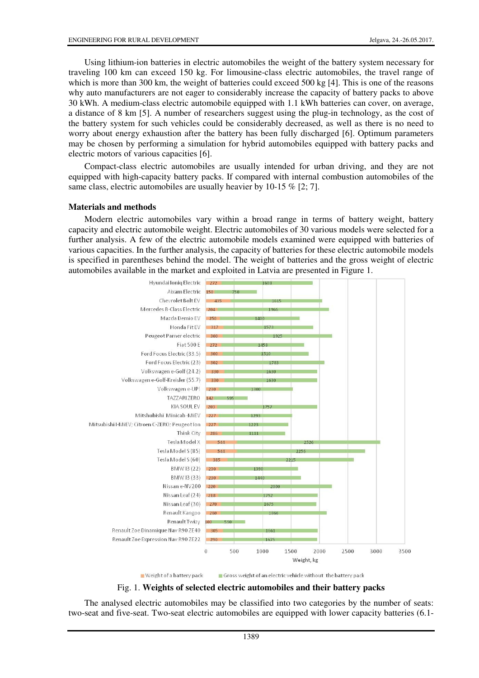Using lithium-ion batteries in electric automobiles the weight of the battery system necessary for traveling 100 km can exceed 150 kg. For limousine-class electric automobiles, the travel range of which is more than 300 km, the weight of batteries could exceed 500 kg [4]. This is one of the reasons why auto manufacturers are not eager to considerably increase the capacity of battery packs to above 30 kWh. A medium-class electric automobile equipped with 1.1 kWh batteries can cover, on average, a distance of 8 km [5]. A number of researchers suggest using the plug-in technology, as the cost of the battery system for such vehicles could be considerably decreased, as well as there is no need to worry about energy exhaustion after the battery has been fully discharged [6]. Optimum parameters may be chosen by performing a simulation for hybrid automobiles equipped with battery packs and electric motors of various capacities [6].

Compact-class electric automobiles are usually intended for urban driving, and they are not equipped with high-capacity battery packs. If compared with internal combustion automobiles of the same class, electric automobiles are usually heavier by 10-15 % [2; 7].

#### **Materials and methods**

Modern electric automobiles vary within a broad range in terms of battery weight, battery capacity and electric automobile weight. Electric automobiles of 30 various models were selected for a further analysis. A few of the electric automobile models examined were equipped with batteries of various capacities. In the further analysis, the capacity of batteries for these electric automobile models is specified in parentheses behind the model. The weight of batteries and the gross weight of electric automobiles available in the market and exploited in Latvia are presented in Figure 1.



# Fig. 1. **Weights of selected electric automobiles and their battery packs**

The analysed electric automobiles may be classified into two categories by the number of seats: two-seat and five-seat. Two-seat electric automobiles are equipped with lower capacity batteries (6.1-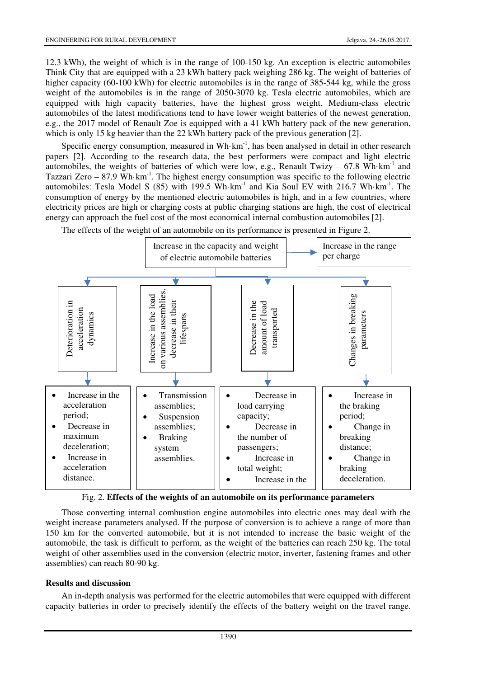12.3 kWh), the weight of which is in the range of 100-150 kg. An exception is electric automobiles Think City that are equipped with a 23 kWh battery pack weighing 286 kg. The weight of batteries of higher capacity (60-100 kWh) for electric automobiles is in the range of 385-544 kg, while the gross weight of the automobiles is in the range of 2050-3070 kg. Tesla electric automobiles, which are equipped with high capacity batteries, have the highest gross weight. Medium-class electric automobiles of the latest modifications tend to have lower weight batteries of the newest generation, e.g., the 2017 model of Renault Zoe is equipped with a 41 kWh battery pack of the new generation, which is only 15 kg heavier than the 22 kWh battery pack of the previous generation [2].

Specific energy consumption, measured in Wh $\cdot$ km<sup>-1</sup>, has been analysed in detail in other research papers [2]. According to the research data, the best performers were compact and light electric automobiles, the weights of batteries of which were low, e.g., Renault Twizy – 67.8 Wh·km<sup>-1</sup> and Tazzari Zero  $-87.9$  Wh·km<sup>-1</sup>. The highest energy consumption was specific to the following electric automobiles: Tesla Model S  $(85)$  with 199.5 Wh·km<sup>-1</sup> and Kia Soul EV with 216.7 Wh·km<sup>-1</sup>. The consumption of energy by the mentioned electric automobiles is high, and in a few countries, where electricity prices are high or charging costs at public charging stations are high, the cost of electrical energy can approach the fuel cost of the most economical internal combustion automobiles [2].



The effects of the weight of an automobile on its performance is presented in Figure 2.

Fig. 2. **Effects of the weights of an automobile on its performance parameters**

Those converting internal combustion engine automobiles into electric ones may deal with the weight increase parameters analysed. If the purpose of conversion is to achieve a range of more than 150 km for the converted automobile, but it is not intended to increase the basic weight of the automobile, the task is difficult to perform, as the weight of the batteries can reach 250 kg. The total weight of other assemblies used in the conversion (electric motor, inverter, fastening frames and other assemblies) can reach 80-90 kg.

## **Results and discussion**

An in-depth analysis was performed for the electric automobiles that were equipped with different capacity batteries in order to precisely identify the effects of the battery weight on the travel range.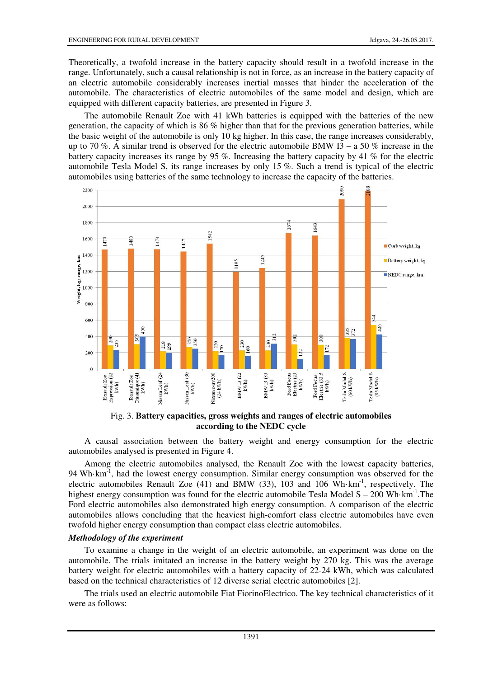Theoretically, a twofold increase in the battery capacity should result in a twofold increase in the range. Unfortunately, such a causal relationship is not in force, as an increase in the battery capacity of an electric automobile considerably increases inertial masses that hinder the acceleration of the automobile. The characteristics of electric automobiles of the same model and design, which are equipped with different capacity batteries, are presented in Figure 3.

The automobile Renault Zoe with 41 kWh batteries is equipped with the batteries of the new generation, the capacity of which is 86 % higher than that for the previous generation batteries, while the basic weight of the automobile is only 10 kg higher. In this case, the range increases considerably, up to 70 %. A similar trend is observed for the electric automobile BMW I3 – a 50 % increase in the battery capacity increases its range by 95 %. Increasing the battery capacity by 41 % for the electric automobile Tesla Model S, its range increases by only 15 %. Such a trend is typical of the electric automobiles using batteries of the same technology to increase the capacity of the batteries.



Fig. 3. **Battery capacities, gross weights and ranges of electric automobiles according to the NEDC cycle**

A causal association between the battery weight and energy consumption for the electric automobiles analysed is presented in Figure 4.

Among the electric automobiles analysed, the Renault Zoe with the lowest capacity batteries, 94 Wh $\cdot$ km<sup>-1</sup>, had the lowest energy consumption. Similar energy consumption was observed for the electric automobiles Renault Zoe (41) and BMW (33), 103 and 106 Wh·km-1, respectively. The highest energy consumption was found for the electric automobile Tesla Model  $S - 200$  Wh·km<sup>-1</sup>. The Ford electric automobiles also demonstrated high energy consumption. A comparison of the electric automobiles allows concluding that the heaviest high-comfort class electric automobiles have even twofold higher energy consumption than compact class electric automobiles.

## *Methodology of the experiment*

To examine a change in the weight of an electric automobile, an experiment was done on the automobile. The trials imitated an increase in the battery weight by 270 kg. This was the average battery weight for electric automobiles with a battery capacity of 22-24 kWh, which was calculated based on the technical characteristics of 12 diverse serial electric automobiles [2].

The trials used an electric automobile Fiat FiorinoElectrico. The key technical characteristics of it were as follows: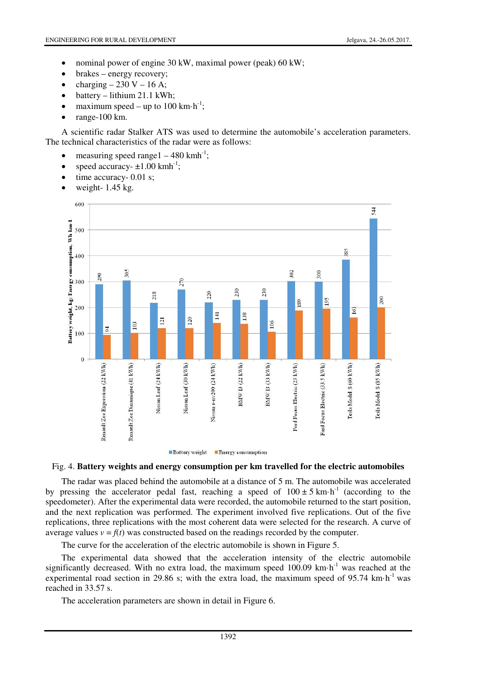- nominal power of engine 30 kW, maximal power (peak) 60 kW;
- brakes energy recovery;
- charging  $-230$  V  $-16$  A;
- battery lithium 21.1 kWh;
- maximum speed up to 100 km $\cdot$ h<sup>-1</sup>;
- range-100 km.

A scientific radar Stalker ATS was used to determine the automobile's acceleration parameters. The technical characteristics of the radar were as follows:

- measuring speed range  $1 480$  kmh<sup>-1</sup>;
- speed accuracy- $\pm 1.00$  kmh<sup>-1</sup>;
- time accuracy- 0.01 s;
- weight-  $1.45$  kg.



Battery weight Energy consumption

# Fig. 4. **Battery weights and energy consumption per km travelled for the electric automobiles**

The radar was placed behind the automobile at a distance of 5 m. The automobile was accelerated by pressing the accelerator pedal fast, reaching a speed of  $100 \pm 5$  km·h<sup>-1</sup> (according to the speedometer). After the experimental data were recorded, the automobile returned to the start position, and the next replication was performed. The experiment involved five replications. Out of the five replications, three replications with the most coherent data were selected for the research. A curve of average values  $v = f(t)$  was constructed based on the readings recorded by the computer.

The curve for the acceleration of the electric automobile is shown in Figure 5.

The experimental data showed that the acceleration intensity of the electric automobile significantly decreased. With no extra load, the maximum speed  $100.09$  km·h<sup>-1</sup> was reached at the experimental road section in 29.86 s; with the extra load, the maximum speed of 95.74 km $\cdot$ h<sup>-1</sup> was reached in 33.57 s.

The acceleration parameters are shown in detail in Figure 6.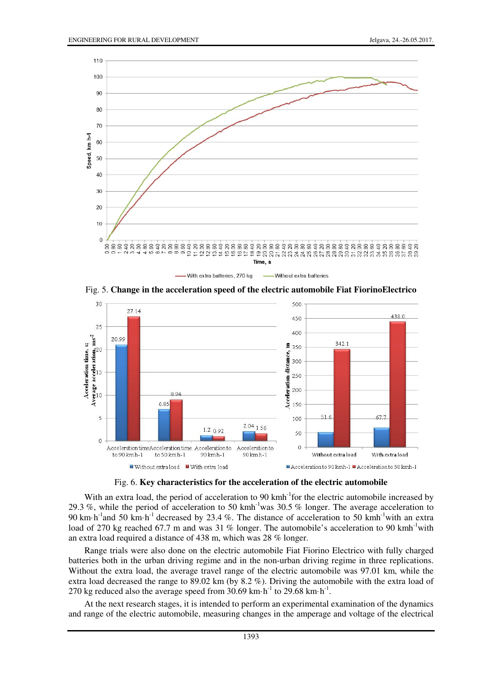

Fig. 5. **Change in the acceleration speed of the electric automobile Fiat FiorinoElectrico** 



Fig. 6. **Key characteristics for the acceleration of the electric automobile** 

With an extra load, the period of acceleration to 90 kmh<sup>-1</sup>for the electric automobile increased by 29.3 %, while the period of acceleration to 50 kmh-1was 30.5 % longer. The average acceleration to 90 km·h<sup>-1</sup>and 50 km·h<sup>-1</sup> decreased by 23.4 %. The distance of acceleration to 50 kmh<sup>-1</sup>with an extra load of 270 kg reached 67.7 m and was 31 % longer. The automobile's acceleration to 90 kmh<sup>-1</sup>with an extra load required a distance of 438 m, which was 28 % longer.

Range trials were also done on the electric automobile Fiat Fiorino Electrico with fully charged batteries both in the urban driving regime and in the non-urban driving regime in three replications. Without the extra load, the average travel range of the electric automobile was 97.01 km, while the extra load decreased the range to 89.02 km (by 8.2 %). Driving the automobile with the extra load of 270 kg reduced also the average speed from 30.69 km $\cdot$ h<sup>-1</sup> to 29.68 km $\cdot$ h<sup>-1</sup>.

At the next research stages, it is intended to perform an experimental examination of the dynamics and range of the electric automobile, measuring changes in the amperage and voltage of the electrical